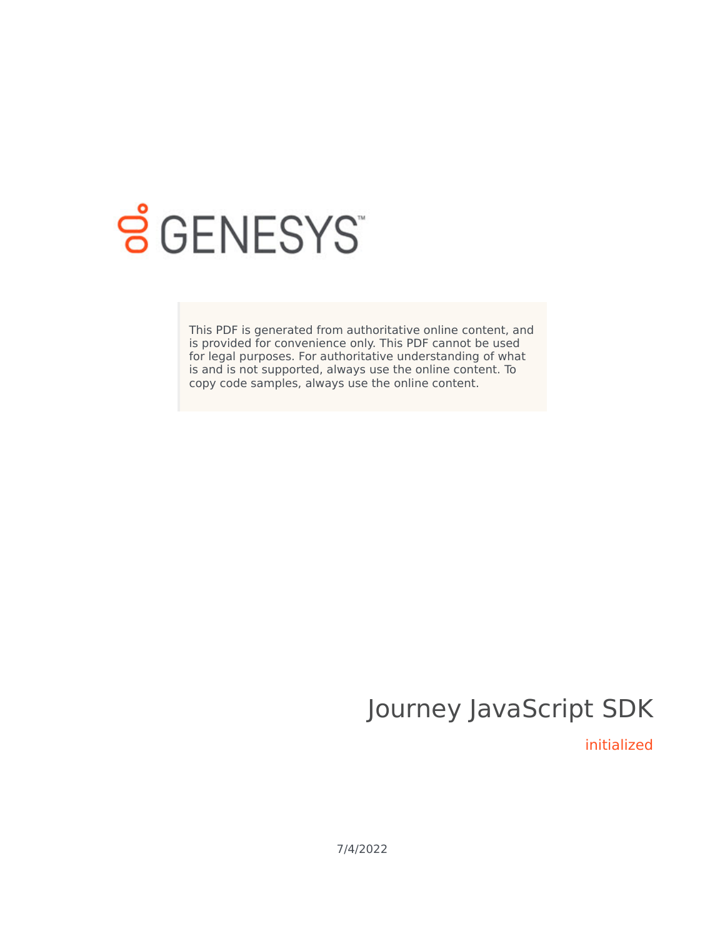

# **SGENESYS**

This PDF is generated from authoritative online content, and is provided for convenience only. This PDF cannot be used for legal purposes. For authoritative understanding of what is and is not supported, always use the online content. To copy code samples, always use the online content.

## Journey JavaScript SDK

initialized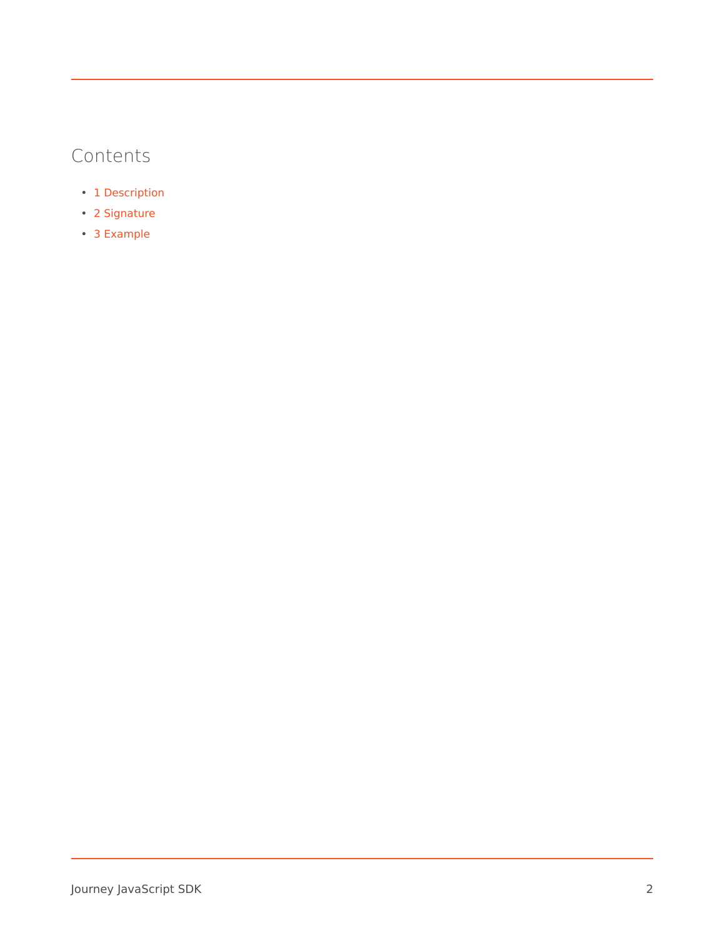### Contents

- 1 [Description](#page-2-0)
- 2 [Signature](#page-2-1)
- 3 [Example](#page-2-2)